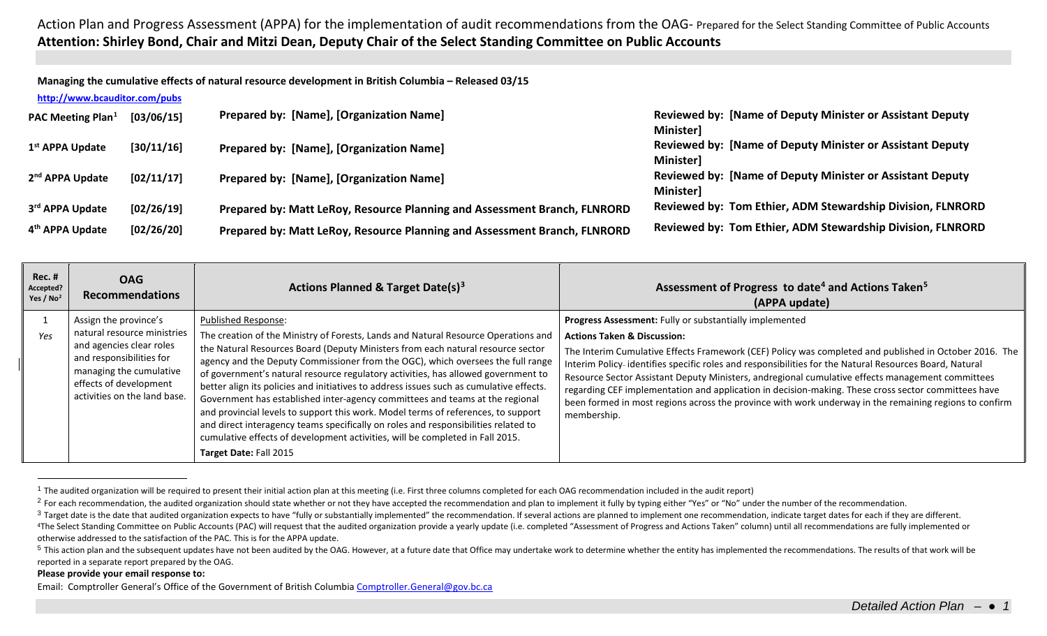<span id="page-0-4"></span><span id="page-0-3"></span><span id="page-0-2"></span><span id="page-0-1"></span><span id="page-0-0"></span>**Managing the cumulative effects of natural resource development in British Columbia – Released 03/15**

| http://www.bcauditor.com/pubs |  |
|-------------------------------|--|
|                               |  |

| PAC Meeting Plan <sup>1</sup> | [03/06/15] | Prepared by: [Name], [Organization Name]                                  | <b>Reviewed by: [Name of Deputy Minister or Assistant Deputy</b><br><b>Minister]</b> |
|-------------------------------|------------|---------------------------------------------------------------------------|--------------------------------------------------------------------------------------|
| 1 <sup>st</sup> APPA Update   | [30/11/16] | Prepared by: [Name], [Organization Name]                                  | <b>Reviewed by: [Name of Deputy Minister or Assistant Deputy</b><br><b>Minister]</b> |
| 2 <sup>nd</sup> APPA Update   | [02/11/17] | Prepared by: [Name], [Organization Name]                                  | <b>Reviewed by: [Name of Deputy Minister or Assistant Deputy</b><br><b>Minister]</b> |
| 3rd APPA Update               | [02/26/19] | Prepared by: Matt LeRoy, Resource Planning and Assessment Branch, FLNRORD | Reviewed by: Tom Ethier, ADM Stewardship Division, FLNRORD                           |
| 4 <sup>th</sup> APPA Update   | [02/26/20] | Prepared by: Matt LeRoy, Resource Planning and Assessment Branch, FLNRORD | Reviewed by: Tom Ethier, ADM Stewardship Division, FLNRORD                           |

| <b>Rec. #</b><br>Accepted?<br>Yes / No <sup>2</sup> | <b>OAG</b><br><b>Recommendations</b>                                                                                                                                                              | Actions Planned & Target Date(s) <sup>3</sup>                                                                                                                                                                                                                                                                                                                                                                                                                                                                                                                                                                                                                                                                                                                                                                                                | Assessment of Progress to date <sup>4</sup> and Actions Taken <sup>5</sup><br>(APPA update)                                                                                                                                                                                                                                                                                                                                                                                                                                                                                                                                                               |
|-----------------------------------------------------|---------------------------------------------------------------------------------------------------------------------------------------------------------------------------------------------------|----------------------------------------------------------------------------------------------------------------------------------------------------------------------------------------------------------------------------------------------------------------------------------------------------------------------------------------------------------------------------------------------------------------------------------------------------------------------------------------------------------------------------------------------------------------------------------------------------------------------------------------------------------------------------------------------------------------------------------------------------------------------------------------------------------------------------------------------|-----------------------------------------------------------------------------------------------------------------------------------------------------------------------------------------------------------------------------------------------------------------------------------------------------------------------------------------------------------------------------------------------------------------------------------------------------------------------------------------------------------------------------------------------------------------------------------------------------------------------------------------------------------|
| Yes                                                 | Assign the province's<br>natural resource ministries<br>and agencies clear roles<br>and responsibilities for<br>managing the cumulative<br>effects of development<br>activities on the land base. | <b>Published Response:</b><br>The creation of the Ministry of Forests, Lands and Natural Resource Operations and<br>the Natural Resources Board (Deputy Ministers from each natural resource sector<br>agency and the Deputy Commissioner from the OGC), which oversees the full range<br>of government's natural resource regulatory activities, has allowed government to<br>better align its policies and initiatives to address issues such as cumulative effects.<br>Government has established inter-agency committees and teams at the regional<br>and provincial levels to support this work. Model terms of references, to support<br>and direct interagency teams specifically on roles and responsibilities related to<br>cumulative effects of development activities, will be completed in Fall 2015.<br>Target Date: Fall 2015 | Progress Assessment: Fully or substantially implemented<br><b>Actions Taken &amp; Discussion:</b><br>The Interim Cumulative Effects Framework (CEF) Policy was completed and published in October 2016. The<br>Interim Policy-identifies specific roles and responsibilities for the Natural Resources Board, Natural<br>Resource Sector Assistant Deputy Ministers, andregional cumulative effects management committees<br>regarding CEF implementation and application in decision-making. These cross sector committees have<br>been formed in most regions across the province with work underway in the remaining regions to confirm<br>membership. |

 $1$  The audited organization will be required to present their initial action plan at this meeting (i.e. First three columns completed for each OAG recommendation included in the audit report)

otherwise addressed to the satisfaction of the PAC. This is for the APPA update.

## **Please provide your email response to:**

Email: Comptroller General's Office of the Government of British Columbi[a Comptroller.General@gov.bc.ca](mailto:Comptroller.General@gov.bc.ca)

<sup>&</sup>lt;sup>2</sup> For each recommendation, the audited organization should state whether or not they have accepted the recommendation and plan to implement it fully by typing either "Yes" or "No" under the number of the recommendation.

<sup>&</sup>lt;sup>3</sup> Target date is the date that audited organization expects to have "fully or substantially implemented" the recommendation. If several actions are planned to implement one recommendation, indicate target dates for each <sup>4</sup>The Select Standing Committee on Public Accounts (PAC) will request that the audited organization provide a yearly update (i.e. completed "Assessment of Progress and Actions Taken" column) until all recommendations are

<sup>&</sup>lt;sup>5</sup> This action plan and the subsequent updates have not been audited by the OAG. However, at a future date that Office may undertake work to determine whether the entity has implemented the recommendations. The results of reported in a separate report prepared by the OAG.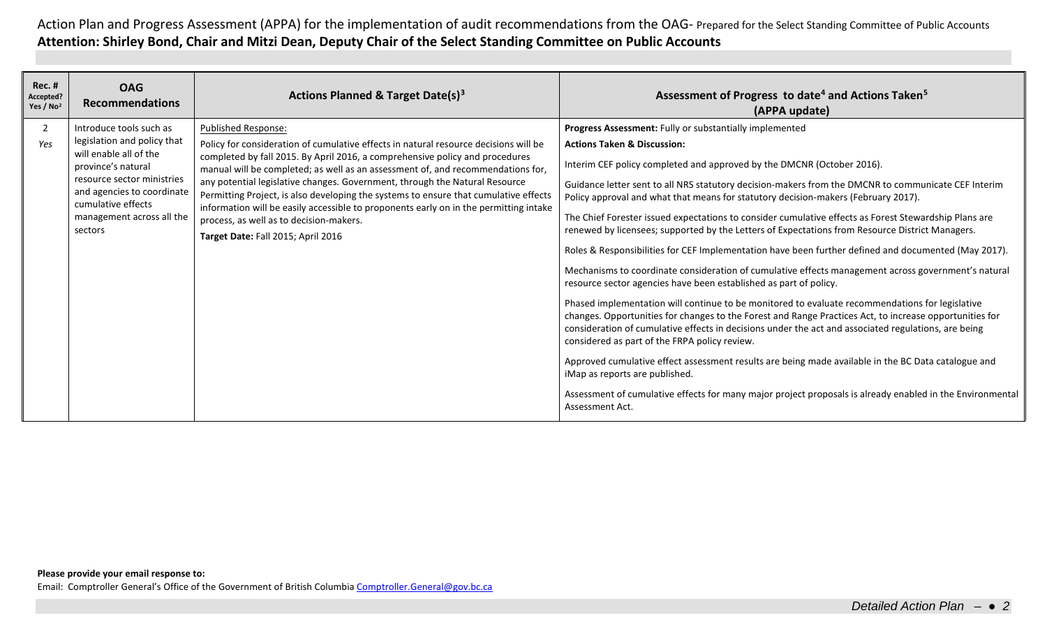| <b>Rec. #</b><br>Accepted?<br>Yes / No <sup>2</sup> | <b>OAG</b><br><b>Recommendations</b>                                                                                                                                                                                             | Actions Planned & Target Date(s) <sup>3</sup>                                                                                                                                                                                                                                                                                                                                                                                                                                                                                                                                                                                          | Assessment of Progress to date <sup>4</sup> and Actions Taken <sup>5</sup><br>(APPA update)                                                                                                                                                                                                                                                                                                                                                                                                                                                                                                                                                                                                                                                                                                                                                                                                                                                                                                                                                                                                                                                                                                                                                                                                                                                                                                                                                                                                                              |
|-----------------------------------------------------|----------------------------------------------------------------------------------------------------------------------------------------------------------------------------------------------------------------------------------|----------------------------------------------------------------------------------------------------------------------------------------------------------------------------------------------------------------------------------------------------------------------------------------------------------------------------------------------------------------------------------------------------------------------------------------------------------------------------------------------------------------------------------------------------------------------------------------------------------------------------------------|--------------------------------------------------------------------------------------------------------------------------------------------------------------------------------------------------------------------------------------------------------------------------------------------------------------------------------------------------------------------------------------------------------------------------------------------------------------------------------------------------------------------------------------------------------------------------------------------------------------------------------------------------------------------------------------------------------------------------------------------------------------------------------------------------------------------------------------------------------------------------------------------------------------------------------------------------------------------------------------------------------------------------------------------------------------------------------------------------------------------------------------------------------------------------------------------------------------------------------------------------------------------------------------------------------------------------------------------------------------------------------------------------------------------------------------------------------------------------------------------------------------------------|
| $\overline{2}$<br>Yes                               | Introduce tools such as<br>legislation and policy that<br>will enable all of the<br>province's natural<br>resource sector ministries<br>and agencies to coordinate<br>cumulative effects<br>management across all the<br>sectors | <b>Published Response:</b><br>Policy for consideration of cumulative effects in natural resource decisions will be<br>completed by fall 2015. By April 2016, a comprehensive policy and procedures<br>manual will be completed; as well as an assessment of, and recommendations for,<br>any potential legislative changes. Government, through the Natural Resource<br>Permitting Project, is also developing the systems to ensure that cumulative effects<br>information will be easily accessible to proponents early on in the permitting intake<br>process, as well as to decision-makers.<br>Target Date: Fall 2015; April 2016 | Progress Assessment: Fully or substantially implemented<br><b>Actions Taken &amp; Discussion:</b><br>Interim CEF policy completed and approved by the DMCNR (October 2016).<br>Guidance letter sent to all NRS statutory decision-makers from the DMCNR to communicate CEF Interim<br>Policy approval and what that means for statutory decision-makers (February 2017).<br>The Chief Forester issued expectations to consider cumulative effects as Forest Stewardship Plans are<br>renewed by licensees; supported by the Letters of Expectations from Resource District Managers.<br>Roles & Responsibilities for CEF Implementation have been further defined and documented (May 2017).<br>Mechanisms to coordinate consideration of cumulative effects management across government's natural<br>resource sector agencies have been established as part of policy.<br>Phased implementation will continue to be monitored to evaluate recommendations for legislative<br>changes. Opportunities for changes to the Forest and Range Practices Act, to increase opportunities for<br>consideration of cumulative effects in decisions under the act and associated regulations, are being<br>considered as part of the FRPA policy review.<br>Approved cumulative effect assessment results are being made available in the BC Data catalogue and<br>iMap as reports are published.<br>Assessment of cumulative effects for many major project proposals is already enabled in the Environmental<br>Assessment Act. |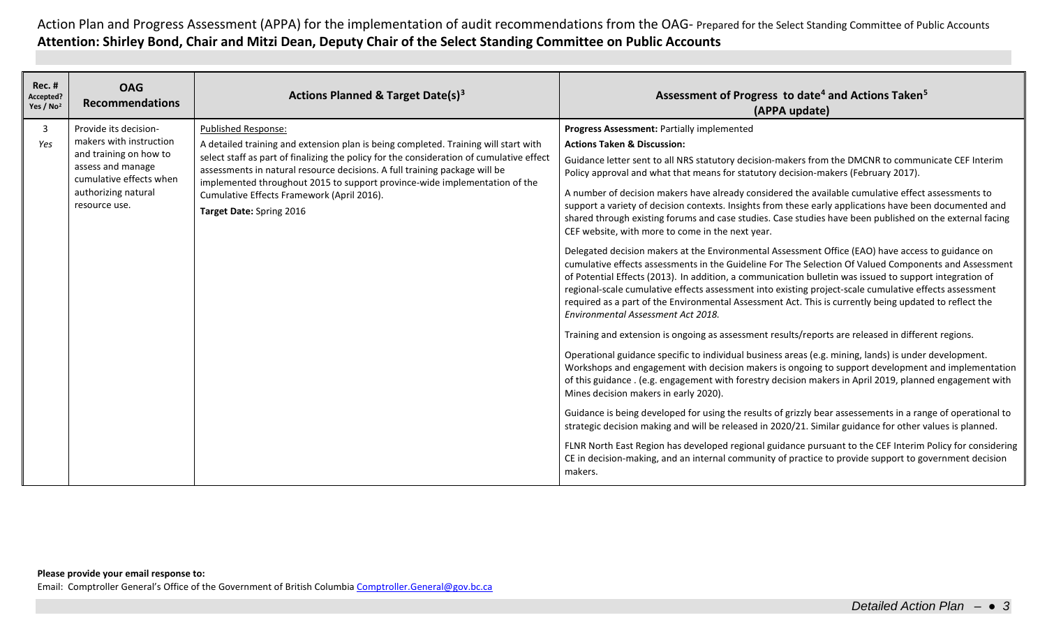| <b>Rec. #</b><br>Accepted?<br>Yes / No <sup>2</sup> | <b>OAG</b><br><b>Recommendations</b>                                                                                                                               | Actions Planned & Target Date(s) <sup>3</sup>                                                                                                                                                                                                                                                                                                                                                                                                       | Assessment of Progress to date <sup>4</sup> and Actions Taken <sup>5</sup><br>(APPA update)                                                                                                                                                                                                                                                                                                                                                                                                                                                                                                                                                                                                                                                                                                                                                                                                                                                                                                                                                                                                                                                                                                                                                                                                                                                                                                                                                                                                                                                                                                                                                                                                                                                                                                                                                                                                                                                                                                                                                                                                                                                                                                  |
|-----------------------------------------------------|--------------------------------------------------------------------------------------------------------------------------------------------------------------------|-----------------------------------------------------------------------------------------------------------------------------------------------------------------------------------------------------------------------------------------------------------------------------------------------------------------------------------------------------------------------------------------------------------------------------------------------------|----------------------------------------------------------------------------------------------------------------------------------------------------------------------------------------------------------------------------------------------------------------------------------------------------------------------------------------------------------------------------------------------------------------------------------------------------------------------------------------------------------------------------------------------------------------------------------------------------------------------------------------------------------------------------------------------------------------------------------------------------------------------------------------------------------------------------------------------------------------------------------------------------------------------------------------------------------------------------------------------------------------------------------------------------------------------------------------------------------------------------------------------------------------------------------------------------------------------------------------------------------------------------------------------------------------------------------------------------------------------------------------------------------------------------------------------------------------------------------------------------------------------------------------------------------------------------------------------------------------------------------------------------------------------------------------------------------------------------------------------------------------------------------------------------------------------------------------------------------------------------------------------------------------------------------------------------------------------------------------------------------------------------------------------------------------------------------------------------------------------------------------------------------------------------------------------|
| 3<br>Yes                                            | Provide its decision-<br>makers with instruction<br>and training on how to<br>assess and manage<br>cumulative effects when<br>authorizing natural<br>resource use. | <b>Published Response:</b><br>A detailed training and extension plan is being completed. Training will start with<br>select staff as part of finalizing the policy for the consideration of cumulative effect<br>assessments in natural resource decisions. A full training package will be<br>implemented throughout 2015 to support province-wide implementation of the<br>Cumulative Effects Framework (April 2016).<br>Target Date: Spring 2016 | Progress Assessment: Partially implemented<br><b>Actions Taken &amp; Discussion:</b><br>Guidance letter sent to all NRS statutory decision-makers from the DMCNR to communicate CEF Interim<br>Policy approval and what that means for statutory decision-makers (February 2017).<br>A number of decision makers have already considered the available cumulative effect assessments to<br>support a variety of decision contexts. Insights from these early applications have been documented and<br>shared through existing forums and case studies. Case studies have been published on the external facing<br>CEF website, with more to come in the next year.<br>Delegated decision makers at the Environmental Assessment Office (EAO) have access to guidance on<br>cumulative effects assessments in the Guideline For The Selection Of Valued Components and Assessment<br>of Potential Effects (2013). In addition, a communication bulletin was issued to support integration of<br>regional-scale cumulative effects assessment into existing project-scale cumulative effects assessment<br>required as a part of the Environmental Assessment Act. This is currently being updated to reflect the<br>Environmental Assessment Act 2018.<br>Training and extension is ongoing as assessment results/reports are released in different regions.<br>Operational guidance specific to individual business areas (e.g. mining, lands) is under development.<br>Workshops and engagement with decision makers is ongoing to support development and implementation<br>of this guidance . (e.g. engagement with forestry decision makers in April 2019, planned engagement with<br>Mines decision makers in early 2020).<br>Guidance is being developed for using the results of grizzly bear assessements in a range of operational to<br>strategic decision making and will be released in 2020/21. Similar guidance for other values is planned.<br>FLNR North East Region has developed regional guidance pursuant to the CEF Interim Policy for considering<br>CE in decision-making, and an internal community of practice to provide support to government decision<br>makers. |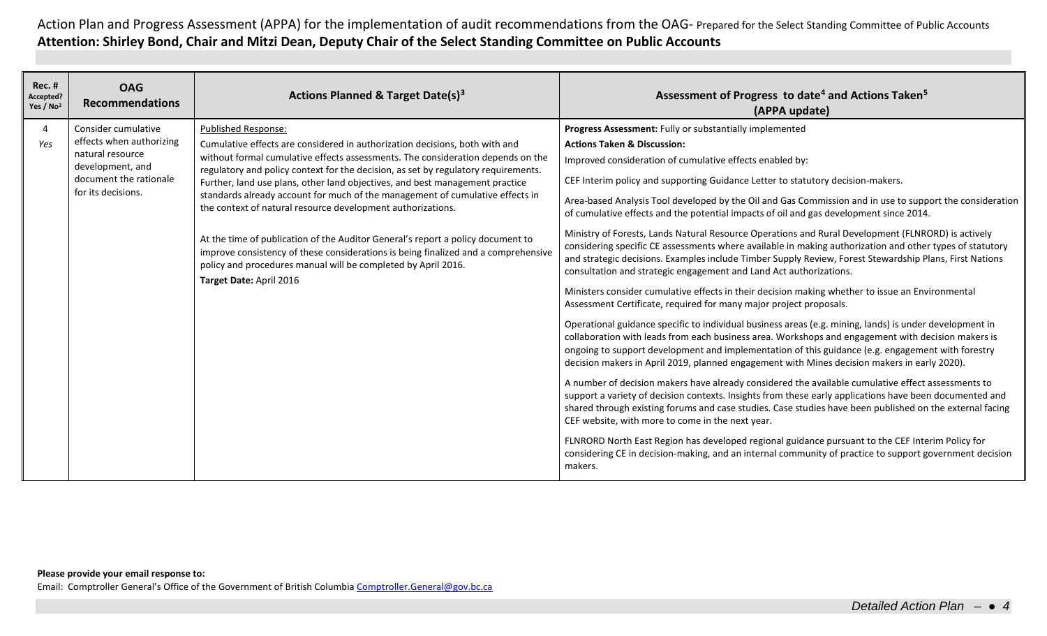| <b>Rec. #</b><br>Accepted?<br>Yes / No <sup>2</sup> | <b>OAG</b><br><b>Recommendations</b>         | Actions Planned & Target Date(s) <sup>3</sup>                                                                                                                                                                                                                     | Assessment of Progress to date <sup>4</sup> and Actions Taken <sup>5</sup><br>(APPA update)                                                                                                                                                                                                                                                                                                                        |
|-----------------------------------------------------|----------------------------------------------|-------------------------------------------------------------------------------------------------------------------------------------------------------------------------------------------------------------------------------------------------------------------|--------------------------------------------------------------------------------------------------------------------------------------------------------------------------------------------------------------------------------------------------------------------------------------------------------------------------------------------------------------------------------------------------------------------|
| 4                                                   | Consider cumulative                          | <b>Published Response:</b>                                                                                                                                                                                                                                        | Progress Assessment: Fully or substantially implemented                                                                                                                                                                                                                                                                                                                                                            |
| Yes                                                 | effects when authorizing<br>natural resource | Cumulative effects are considered in authorization decisions, both with and                                                                                                                                                                                       | <b>Actions Taken &amp; Discussion:</b>                                                                                                                                                                                                                                                                                                                                                                             |
|                                                     | development, and                             | without formal cumulative effects assessments. The consideration depends on the<br>regulatory and policy context for the decision, as set by regulatory requirements.                                                                                             | Improved consideration of cumulative effects enabled by:                                                                                                                                                                                                                                                                                                                                                           |
|                                                     | document the rationale                       | Further, land use plans, other land objectives, and best management practice<br>for its decisions.<br>standards already account for much of the management of cumulative effects in<br>the context of natural resource development authorizations.                | CEF Interim policy and supporting Guidance Letter to statutory decision-makers.                                                                                                                                                                                                                                                                                                                                    |
|                                                     |                                              |                                                                                                                                                                                                                                                                   | Area-based Analysis Tool developed by the Oil and Gas Commission and in use to support the consideration<br>of cumulative effects and the potential impacts of oil and gas development since 2014.                                                                                                                                                                                                                 |
|                                                     |                                              | At the time of publication of the Auditor General's report a policy document to<br>improve consistency of these considerations is being finalized and a comprehensive<br>policy and procedures manual will be completed by April 2016.<br>Target Date: April 2016 | Ministry of Forests, Lands Natural Resource Operations and Rural Development (FLNRORD) is actively<br>considering specific CE assessments where available in making authorization and other types of statutory<br>and strategic decisions. Examples include Timber Supply Review, Forest Stewardship Plans, First Nations<br>consultation and strategic engagement and Land Act authorizations.                    |
|                                                     |                                              |                                                                                                                                                                                                                                                                   | Ministers consider cumulative effects in their decision making whether to issue an Environmental<br>Assessment Certificate, required for many major project proposals.                                                                                                                                                                                                                                             |
|                                                     |                                              |                                                                                                                                                                                                                                                                   | Operational guidance specific to individual business areas (e.g. mining, lands) is under development in<br>collaboration with leads from each business area. Workshops and engagement with decision makers is<br>ongoing to support development and implementation of this guidance (e.g. engagement with forestry<br>decision makers in April 2019, planned engagement with Mines decision makers in early 2020). |
|                                                     |                                              |                                                                                                                                                                                                                                                                   | A number of decision makers have already considered the available cumulative effect assessments to<br>support a variety of decision contexts. Insights from these early applications have been documented and<br>shared through existing forums and case studies. Case studies have been published on the external facing<br>CEF website, with more to come in the next year.                                      |
|                                                     |                                              |                                                                                                                                                                                                                                                                   | FLNRORD North East Region has developed regional guidance pursuant to the CEF Interim Policy for<br>considering CE in decision-making, and an internal community of practice to support government decision<br>makers.                                                                                                                                                                                             |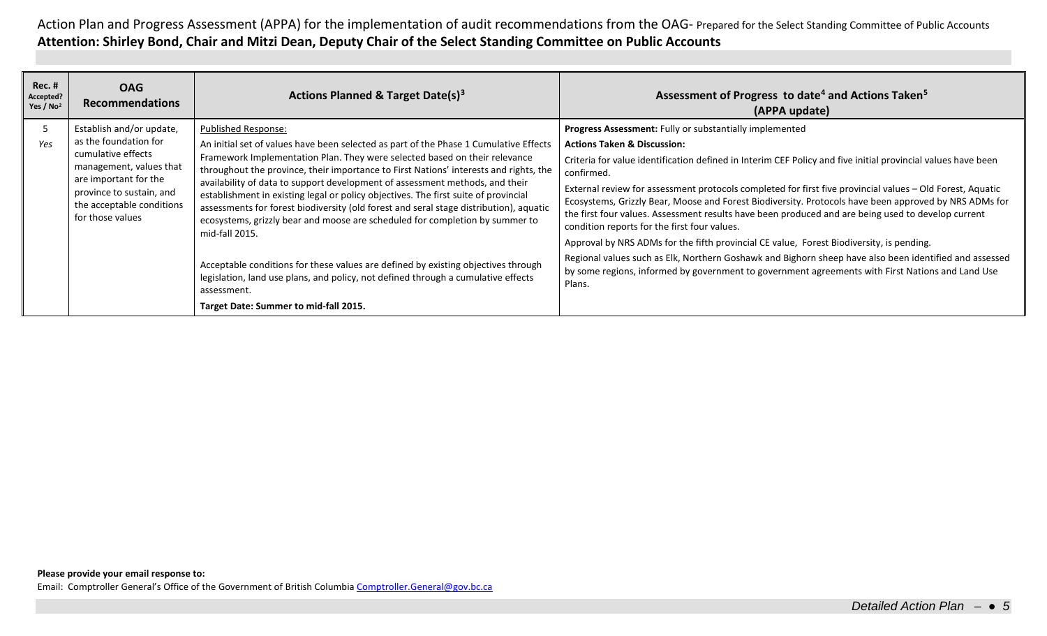| <b>Rec. #</b><br>Accepted?<br>Yes / No <sup>2</sup> | <b>OAG</b><br><b>Recommendations</b>                                                                                                                                                                     | Actions Planned & Target Date(s) <sup>3</sup>                                                                                                                                                                                                                                                                                                                                                                                                                                                                                                                                                                                                                                                                                                                                                                                           | Assessment of Progress to date <sup>4</sup> and Actions Taken <sup>5</sup><br>(APPA update)                                                                                                                                                                                                                                                                                                                                                                                                                                                                                                                                                                                                                                                                                                                                                                                                                                            |
|-----------------------------------------------------|----------------------------------------------------------------------------------------------------------------------------------------------------------------------------------------------------------|-----------------------------------------------------------------------------------------------------------------------------------------------------------------------------------------------------------------------------------------------------------------------------------------------------------------------------------------------------------------------------------------------------------------------------------------------------------------------------------------------------------------------------------------------------------------------------------------------------------------------------------------------------------------------------------------------------------------------------------------------------------------------------------------------------------------------------------------|----------------------------------------------------------------------------------------------------------------------------------------------------------------------------------------------------------------------------------------------------------------------------------------------------------------------------------------------------------------------------------------------------------------------------------------------------------------------------------------------------------------------------------------------------------------------------------------------------------------------------------------------------------------------------------------------------------------------------------------------------------------------------------------------------------------------------------------------------------------------------------------------------------------------------------------|
| כ<br>Yes                                            | Establish and/or update,<br>as the foundation for<br>cumulative effects<br>management, values that<br>are important for the<br>province to sustain, and<br>the acceptable conditions<br>for those values | <b>Published Response:</b><br>An initial set of values have been selected as part of the Phase 1 Cumulative Effects<br>Framework Implementation Plan. They were selected based on their relevance<br>throughout the province, their importance to First Nations' interests and rights, the<br>availability of data to support development of assessment methods, and their<br>establishment in existing legal or policy objectives. The first suite of provincial<br>assessments for forest biodiversity (old forest and seral stage distribution), aquatic<br>ecosystems, grizzly bear and moose are scheduled for completion by summer to<br>mid-fall 2015.<br>Acceptable conditions for these values are defined by existing objectives through<br>legislation, land use plans, and policy, not defined through a cumulative effects | <b>Progress Assessment:</b> Fully or substantially implemented<br><b>Actions Taken &amp; Discussion:</b><br>Criteria for value identification defined in Interim CEF Policy and five initial provincial values have been<br>confirmed.<br>External review for assessment protocols completed for first five provincial values - Old Forest, Aquatic<br>Ecosystems, Grizzly Bear, Moose and Forest Biodiversity. Protocols have been approved by NRS ADMs for<br>the first four values. Assessment results have been produced and are being used to develop current<br>condition reports for the first four values.<br>Approval by NRS ADMs for the fifth provincial CE value, Forest Biodiversity, is pending.<br>Regional values such as Elk, Northern Goshawk and Bighorn sheep have also been identified and assessed<br>by some regions, informed by government to government agreements with First Nations and Land Use<br>Plans. |
|                                                     |                                                                                                                                                                                                          | assessment.<br>Target Date: Summer to mid-fall 2015.                                                                                                                                                                                                                                                                                                                                                                                                                                                                                                                                                                                                                                                                                                                                                                                    |                                                                                                                                                                                                                                                                                                                                                                                                                                                                                                                                                                                                                                                                                                                                                                                                                                                                                                                                        |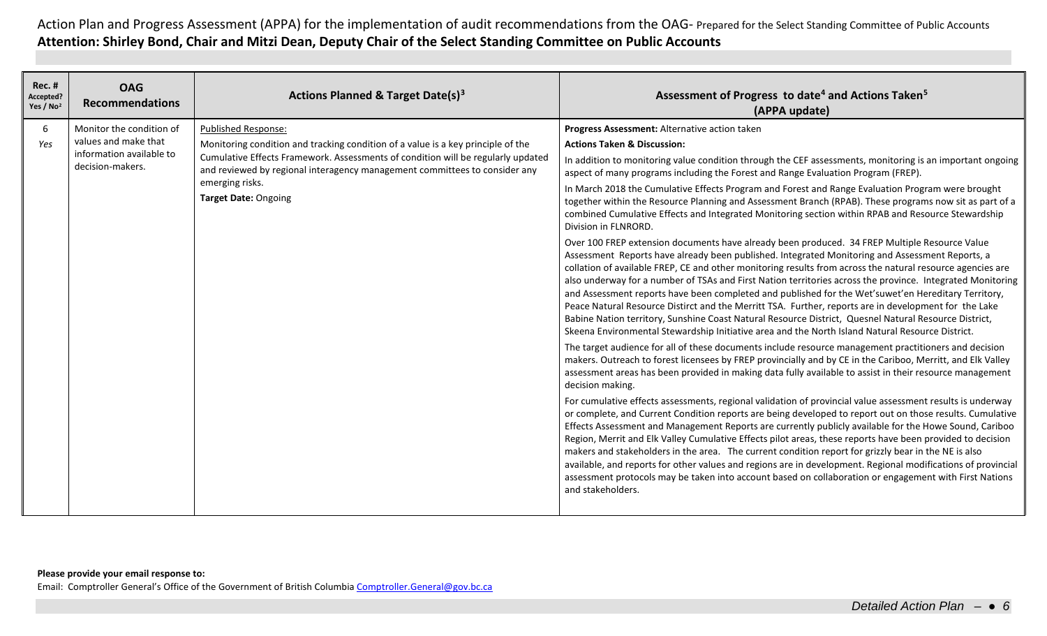| <b>Rec. #</b><br>Accepted?<br>Yes / No <sup>2</sup> | <b>OAG</b><br><b>Recommendations</b>                                                             | Actions Planned & Target Date(s) <sup>3</sup>                                                                                                                                                                                                                                                                               | Assessment of Progress to date <sup>4</sup> and Actions Taken <sup>5</sup><br>(APPA update)                                                                                                                                                                                                                                                                                                                                                                                                                                                                                                                                                                                                                                                                                                                                                                                                                                                                                                                                                                                                                                                                                                                                                                                                                                                                                                                                                                                                                                                                                                                                                                                                                                                                                                                                                                                                                                                                                                                                                                                                                                                                                                                                                                                                                                                                                                                                                                                                                                                                                                                                                                            |
|-----------------------------------------------------|--------------------------------------------------------------------------------------------------|-----------------------------------------------------------------------------------------------------------------------------------------------------------------------------------------------------------------------------------------------------------------------------------------------------------------------------|------------------------------------------------------------------------------------------------------------------------------------------------------------------------------------------------------------------------------------------------------------------------------------------------------------------------------------------------------------------------------------------------------------------------------------------------------------------------------------------------------------------------------------------------------------------------------------------------------------------------------------------------------------------------------------------------------------------------------------------------------------------------------------------------------------------------------------------------------------------------------------------------------------------------------------------------------------------------------------------------------------------------------------------------------------------------------------------------------------------------------------------------------------------------------------------------------------------------------------------------------------------------------------------------------------------------------------------------------------------------------------------------------------------------------------------------------------------------------------------------------------------------------------------------------------------------------------------------------------------------------------------------------------------------------------------------------------------------------------------------------------------------------------------------------------------------------------------------------------------------------------------------------------------------------------------------------------------------------------------------------------------------------------------------------------------------------------------------------------------------------------------------------------------------------------------------------------------------------------------------------------------------------------------------------------------------------------------------------------------------------------------------------------------------------------------------------------------------------------------------------------------------------------------------------------------------------------------------------------------------------------------------------------------------|
| 6<br>Yes                                            | Monitor the condition of<br>values and make that<br>information available to<br>decision-makers. | Published Response:<br>Monitoring condition and tracking condition of a value is a key principle of the<br>Cumulative Effects Framework. Assessments of condition will be regularly updated<br>and reviewed by regional interagency management committees to consider any<br>emerging risks.<br><b>Target Date: Ongoing</b> | Progress Assessment: Alternative action taken<br><b>Actions Taken &amp; Discussion:</b><br>In addition to monitoring value condition through the CEF assessments, monitoring is an important ongoing<br>aspect of many programs including the Forest and Range Evaluation Program (FREP).<br>In March 2018 the Cumulative Effects Program and Forest and Range Evaluation Program were brought<br>together within the Resource Planning and Assessment Branch (RPAB). These programs now sit as part of a<br>combined Cumulative Effects and Integrated Monitoring section within RPAB and Resource Stewardship<br>Division in FLNRORD.<br>Over 100 FREP extension documents have already been produced. 34 FREP Multiple Resource Value<br>Assessment Reports have already been published. Integrated Monitoring and Assessment Reports, a<br>collation of available FREP, CE and other monitoring results from across the natural resource agencies are<br>also underway for a number of TSAs and First Nation territories across the province. Integrated Monitoring<br>and Assessment reports have been completed and published for the Wet'suwet'en Hereditary Territory,<br>Peace Natural Resource Distirct and the Merritt TSA. Further, reports are in development for the Lake<br>Babine Nation territory, Sunshine Coast Natural Resource District, Quesnel Natural Resource District,<br>Skeena Environmental Stewardship Initiative area and the North Island Natural Resource District.<br>The target audience for all of these documents include resource management practitioners and decision<br>makers. Outreach to forest licensees by FREP provincially and by CE in the Cariboo, Merritt, and Elk Valley<br>assessment areas has been provided in making data fully available to assist in their resource management<br>decision making.<br>For cumulative effects assessments, regional validation of provincial value assessment results is underway<br>or complete, and Current Condition reports are being developed to report out on those results. Cumulative<br>Effects Assessment and Management Reports are currently publicly available for the Howe Sound, Cariboo<br>Region, Merrit and Elk Valley Cumulative Effects pilot areas, these reports have been provided to decision<br>makers and stakeholders in the area. The current condition report for grizzly bear in the NE is also<br>available, and reports for other values and regions are in development. Regional modifications of provincial<br>assessment protocols may be taken into account based on collaboration or engagement with First Nations<br>and stakeholders. |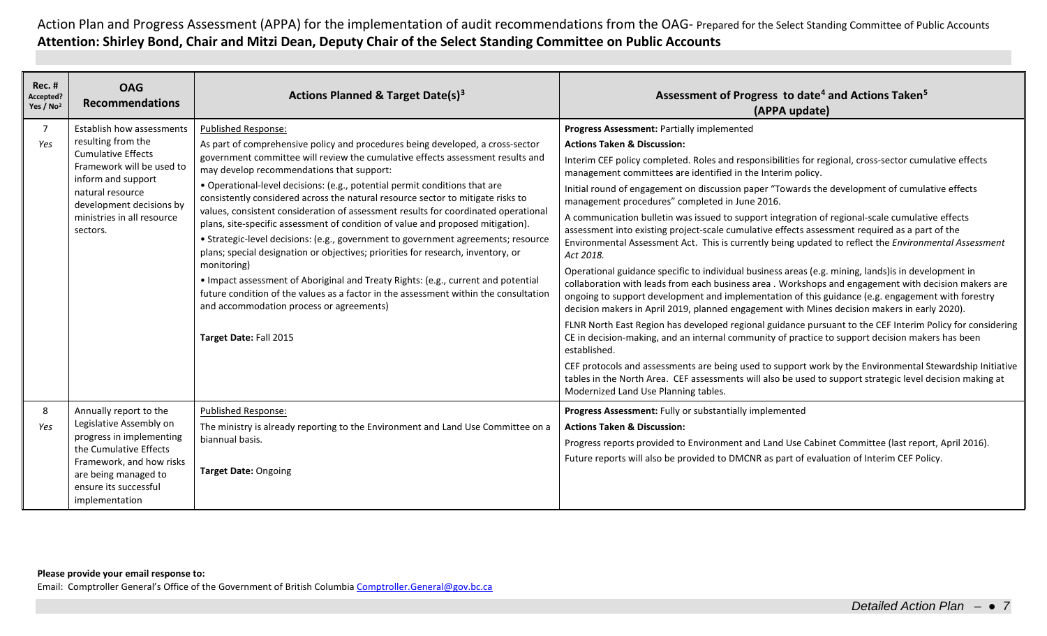| $Rec.$ #<br>Accepted?<br>Yes / No <sup>2</sup> | <b>OAG</b><br><b>Recommendations</b>                                                                                                                                                                                      | Actions Planned & Target Date(s) <sup>3</sup>                                                                                                                                                                                                                                                                                                                                                                                                                                                                                                                                                                                                                                                                                                                                                                                                                                                                                                                                                                                   | Assessment of Progress to date <sup>4</sup> and Actions Taken <sup>5</sup><br>(APPA update)                                                                                                                                                                                                                                                                                                                                                                                                                                                                                                                                                                                                                                                                                                                                                                                                                                                                                                                                                                                                                                                                                                                                                                                                                                                                                                                                                                                                                                                                                                                                                                         |
|------------------------------------------------|---------------------------------------------------------------------------------------------------------------------------------------------------------------------------------------------------------------------------|---------------------------------------------------------------------------------------------------------------------------------------------------------------------------------------------------------------------------------------------------------------------------------------------------------------------------------------------------------------------------------------------------------------------------------------------------------------------------------------------------------------------------------------------------------------------------------------------------------------------------------------------------------------------------------------------------------------------------------------------------------------------------------------------------------------------------------------------------------------------------------------------------------------------------------------------------------------------------------------------------------------------------------|---------------------------------------------------------------------------------------------------------------------------------------------------------------------------------------------------------------------------------------------------------------------------------------------------------------------------------------------------------------------------------------------------------------------------------------------------------------------------------------------------------------------------------------------------------------------------------------------------------------------------------------------------------------------------------------------------------------------------------------------------------------------------------------------------------------------------------------------------------------------------------------------------------------------------------------------------------------------------------------------------------------------------------------------------------------------------------------------------------------------------------------------------------------------------------------------------------------------------------------------------------------------------------------------------------------------------------------------------------------------------------------------------------------------------------------------------------------------------------------------------------------------------------------------------------------------------------------------------------------------------------------------------------------------|
| $\overline{7}$<br>Yes                          | Establish how assessments<br>resulting from the<br><b>Cumulative Effects</b><br>Framework will be used to<br>inform and support<br>natural resource<br>development decisions by<br>ministries in all resource<br>sectors. | <b>Published Response:</b><br>As part of comprehensive policy and procedures being developed, a cross-sector<br>government committee will review the cumulative effects assessment results and<br>may develop recommendations that support:<br>· Operational-level decisions: (e.g., potential permit conditions that are<br>consistently considered across the natural resource sector to mitigate risks to<br>values, consistent consideration of assessment results for coordinated operationa<br>plans, site-specific assessment of condition of value and proposed mitigation).<br>• Strategic-level decisions: (e.g., government to government agreements; resource<br>plans; special designation or objectives; priorities for research, inventory, or<br>monitoring)<br>• Impact assessment of Aboriginal and Treaty Rights: (e.g., current and potential<br>future condition of the values as a factor in the assessment within the consultation<br>and accommodation process or agreements)<br>Target Date: Fall 2015 | Progress Assessment: Partially implemented<br><b>Actions Taken &amp; Discussion:</b><br>Interim CEF policy completed. Roles and responsibilities for regional, cross-sector cumulative effects<br>management committees are identified in the Interim policy.<br>Initial round of engagement on discussion paper "Towards the development of cumulative effects<br>management procedures" completed in June 2016.<br>A communication bulletin was issued to support integration of regional-scale cumulative effects<br>assessment into existing project-scale cumulative effects assessment required as a part of the<br>Environmental Assessment Act. This is currently being updated to reflect the Environmental Assessment<br>Act 2018.<br>Operational guidance specific to individual business areas (e.g. mining, lands) is in development in<br>collaboration with leads from each business area . Workshops and engagement with decision makers are<br>ongoing to support development and implementation of this guidance (e.g. engagement with forestry<br>decision makers in April 2019, planned engagement with Mines decision makers in early 2020).<br>FLNR North East Region has developed regional guidance pursuant to the CEF Interim Policy for considering<br>CE in decision-making, and an internal community of practice to support decision makers has been<br>established.<br>CEF protocols and assessments are being used to support work by the Environmental Stewardship Initiative<br>tables in the North Area. CEF assessments will also be used to support strategic level decision making at<br>Modernized Land Use Planning tables. |
| 8<br>Yes                                       | Annually report to the<br>Legislative Assembly on<br>progress in implementing<br>the Cumulative Effects<br>Framework, and how risks<br>are being managed to<br>ensure its successful<br>implementation                    | <b>Published Response:</b><br>The ministry is already reporting to the Environment and Land Use Committee on a<br>biannual basis.<br><b>Target Date: Ongoing</b>                                                                                                                                                                                                                                                                                                                                                                                                                                                                                                                                                                                                                                                                                                                                                                                                                                                                | Progress Assessment: Fully or substantially implemented<br><b>Actions Taken &amp; Discussion:</b><br>Progress reports provided to Environment and Land Use Cabinet Committee (last report, April 2016).<br>Future reports will also be provided to DMCNR as part of evaluation of Interim CEF Policy.                                                                                                                                                                                                                                                                                                                                                                                                                                                                                                                                                                                                                                                                                                                                                                                                                                                                                                                                                                                                                                                                                                                                                                                                                                                                                                                                                               |